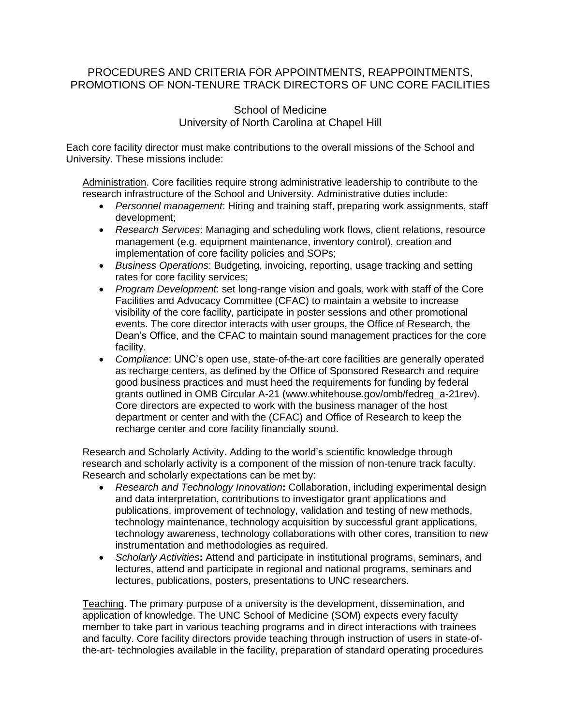# PROCEDURES AND CRITERIA FOR APPOINTMENTS, REAPPOINTMENTS, PROMOTIONS OF NON-TENURE TRACK DIRECTORS OF UNC CORE FACILITIES

## School of Medicine University of North Carolina at Chapel Hill

Each core facility director must make contributions to the overall missions of the School and University. These missions include:

Administration. Core facilities require strong administrative leadership to contribute to the research infrastructure of the School and University. Administrative duties include:

- *Personnel management*: Hiring and training staff, preparing work assignments, staff development;
- *Research Services*: Managing and scheduling work flows, client relations, resource management (e.g. equipment maintenance, inventory control), creation and implementation of core facility policies and SOPs;
- *Business Operations*: Budgeting, invoicing, reporting, usage tracking and setting rates for core facility services;
- *Program Development*: set long-range vision and goals, work with staff of the Core Facilities and Advocacy Committee (CFAC) to maintain a website to increase visibility of the core facility, participate in poster sessions and other promotional events. The core director interacts with user groups, the Office of Research, the Dean's Office, and the CFAC to maintain sound management practices for the core facility.
- *Compliance*: UNC's open use, state-of-the-art core facilities are generally operated as recharge centers, as defined by the Office of Sponsored Research and require good business practices and must heed the requirements for funding by federal grants outlined in OMB Circular A-21 (www.whitehouse.gov/omb/fedreg\_a-21rev). Core directors are expected to work with the business manager of the host department or center and with the (CFAC) and Office of Research to keep the recharge center and core facility financially sound.

Research and Scholarly Activity. Adding to the world's scientific knowledge through research and scholarly activity is a component of the mission of non-tenure track faculty. Research and scholarly expectations can be met by:

- *Research and Technology Innovation***:** Collaboration, including experimental design and data interpretation, contributions to investigator grant applications and publications, improvement of technology, validation and testing of new methods, technology maintenance, technology acquisition by successful grant applications, technology awareness, technology collaborations with other cores, transition to new instrumentation and methodologies as required.
- *Scholarly Activities***:** Attend and participate in institutional programs, seminars, and lectures, attend and participate in regional and national programs, seminars and lectures, publications, posters, presentations to UNC researchers.

Teaching. The primary purpose of a university is the development, dissemination, and application of knowledge. The UNC School of Medicine (SOM) expects every faculty member to take part in various teaching programs and in direct interactions with trainees and faculty. Core facility directors provide teaching through instruction of users in state-ofthe-art- technologies available in the facility, preparation of standard operating procedures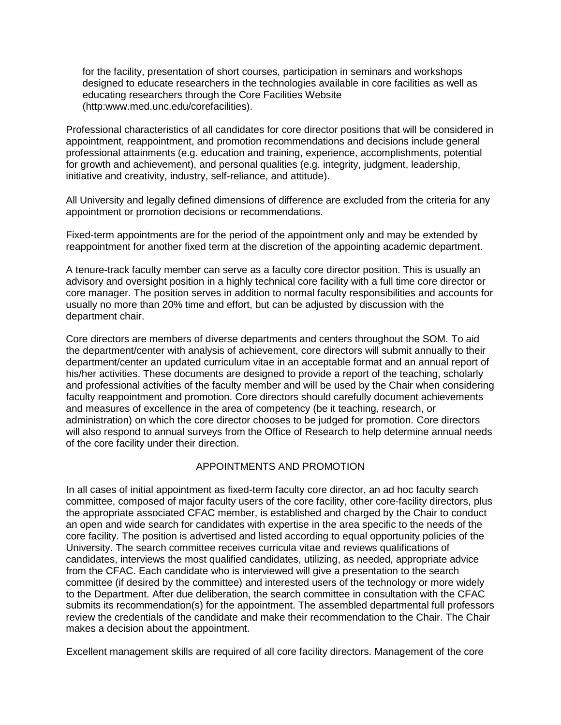for the facility, presentation of short courses, participation in seminars and workshops designed to educate researchers in the technologies available in core facilities as well as educating researchers through the Core Facilities Website (http:www.med.unc.edu/corefacilities).

Professional characteristics of all candidates for core director positions that will be considered in appointment, reappointment, and promotion recommendations and decisions include general professional attainments (e.g. education and training, experience, accomplishments, potential for growth and achievement), and personal qualities (e.g. integrity, judgment, leadership, initiative and creativity, industry, self-reliance, and attitude).

All University and legally defined dimensions of difference are excluded from the criteria for any appointment or promotion decisions or recommendations.

Fixed-term appointments are for the period of the appointment only and may be extended by reappointment for another fixed term at the discretion of the appointing academic department.

A tenure-track faculty member can serve as a faculty core director position. This is usually an advisory and oversight position in a highly technical core facility with a full time core director or core manager. The position serves in addition to normal faculty responsibilities and accounts for usually no more than 20% time and effort, but can be adjusted by discussion with the department chair.

Core directors are members of diverse departments and centers throughout the SOM. To aid the department/center with analysis of achievement, core directors will submit annually to their department/center an updated curriculum vitae in an acceptable format and an annual report of his/her activities. These documents are designed to provide a report of the teaching, scholarly and professional activities of the faculty member and will be used by the Chair when considering faculty reappointment and promotion. Core directors should carefully document achievements and measures of excellence in the area of competency (be it teaching, research, or administration) on which the core director chooses to be judged for promotion. Core directors will also respond to annual surveys from the Office of Research to help determine annual needs of the core facility under their direction.

### APPOINTMENTS AND PROMOTION

In all cases of initial appointment as fixed-term faculty core director, an ad hoc faculty search committee, composed of major faculty users of the core facility, other core-facility directors, plus the appropriate associated CFAC member, is established and charged by the Chair to conduct an open and wide search for candidates with expertise in the area specific to the needs of the core facility. The position is advertised and listed according to equal opportunity policies of the University. The search committee receives curricula vitae and reviews qualifications of candidates, interviews the most qualified candidates, utilizing, as needed, appropriate advice from the CFAC. Each candidate who is interviewed will give a presentation to the search committee (if desired by the committee) and interested users of the technology or more widely to the Department. After due deliberation, the search committee in consultation with the CFAC submits its recommendation(s) for the appointment. The assembled departmental full professors review the credentials of the candidate and make their recommendation to the Chair. The Chair makes a decision about the appointment.

Excellent management skills are required of all core facility directors. Management of the core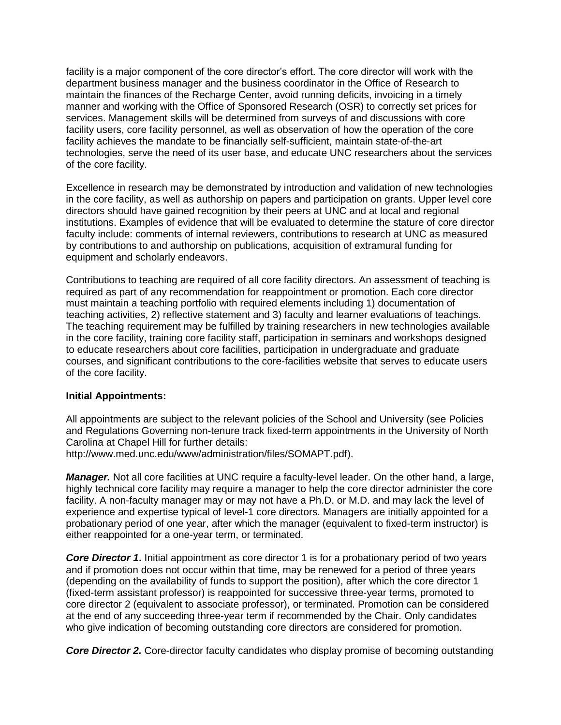facility is a major component of the core director's effort. The core director will work with the department business manager and the business coordinator in the Office of Research to maintain the finances of the Recharge Center, avoid running deficits, invoicing in a timely manner and working with the Office of Sponsored Research (OSR) to correctly set prices for services. Management skills will be determined from surveys of and discussions with core facility users, core facility personnel, as well as observation of how the operation of the core facility achieves the mandate to be financially self-sufficient, maintain state-of-the-art technologies, serve the need of its user base, and educate UNC researchers about the services of the core facility.

Excellence in research may be demonstrated by introduction and validation of new technologies in the core facility, as well as authorship on papers and participation on grants. Upper level core directors should have gained recognition by their peers at UNC and at local and regional institutions. Examples of evidence that will be evaluated to determine the stature of core director faculty include: comments of internal reviewers, contributions to research at UNC as measured by contributions to and authorship on publications, acquisition of extramural funding for equipment and scholarly endeavors.

Contributions to teaching are required of all core facility directors. An assessment of teaching is required as part of any recommendation for reappointment or promotion. Each core director must maintain a teaching portfolio with required elements including 1) documentation of teaching activities, 2) reflective statement and 3) faculty and learner evaluations of teachings. The teaching requirement may be fulfilled by training researchers in new technologies available in the core facility, training core facility staff, participation in seminars and workshops designed to educate researchers about core facilities, participation in undergraduate and graduate courses, and significant contributions to the core-facilities website that serves to educate users of the core facility.

#### **Initial Appointments:**

All appointments are subject to the relevant policies of the School and University (see Policies and Regulations Governing non-tenure track fixed-term appointments in the University of North Carolina at Chapel Hill for further details:

http://www.med.unc.edu/www/administration/files/SOMAPT.pdf).

*Manager.* Not all core facilities at UNC require a faculty-level leader. On the other hand, a large, highly technical core facility may require a manager to help the core director administer the core facility. A non-faculty manager may or may not have a Ph.D. or M.D. and may lack the level of experience and expertise typical of level-1 core directors. Managers are initially appointed for a probationary period of one year, after which the manager (equivalent to fixed-term instructor) is either reappointed for a one-year term, or terminated.

*Core Director 1***.** Initial appointment as core director 1 is for a probationary period of two years and if promotion does not occur within that time, may be renewed for a period of three years (depending on the availability of funds to support the position), after which the core director 1 (fixed-term assistant professor) is reappointed for successive three-year terms, promoted to core director 2 (equivalent to associate professor), or terminated. Promotion can be considered at the end of any succeeding three-year term if recommended by the Chair. Only candidates who give indication of becoming outstanding core directors are considered for promotion.

*Core Director 2.* Core-director faculty candidates who display promise of becoming outstanding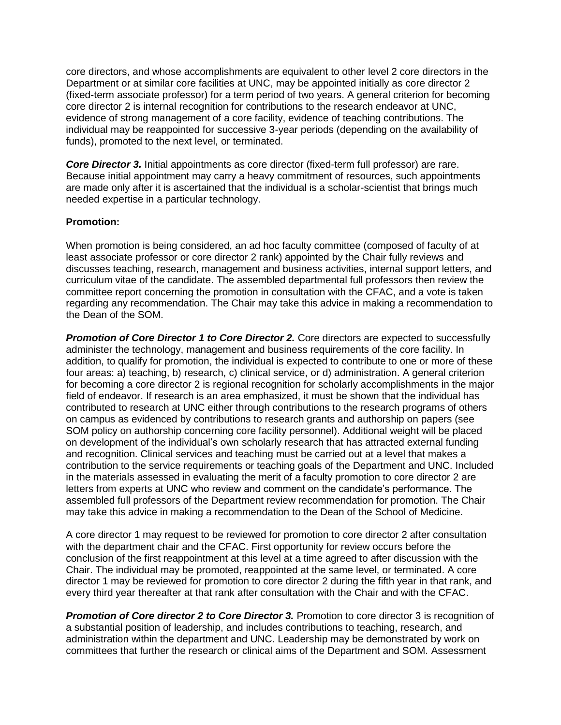core directors, and whose accomplishments are equivalent to other level 2 core directors in the Department or at similar core facilities at UNC, may be appointed initially as core director 2 (fixed-term associate professor) for a term period of two years. A general criterion for becoming core director 2 is internal recognition for contributions to the research endeavor at UNC, evidence of strong management of a core facility, evidence of teaching contributions. The individual may be reappointed for successive 3-year periods (depending on the availability of funds), promoted to the next level, or terminated.

*Core Director 3.* Initial appointments as core director (fixed-term full professor) are rare. Because initial appointment may carry a heavy commitment of resources, such appointments are made only after it is ascertained that the individual is a scholar-scientist that brings much needed expertise in a particular technology.

### **Promotion:**

When promotion is being considered, an ad hoc faculty committee (composed of faculty of at least associate professor or core director 2 rank) appointed by the Chair fully reviews and discusses teaching, research, management and business activities, internal support letters, and curriculum vitae of the candidate. The assembled departmental full professors then review the committee report concerning the promotion in consultation with the CFAC, and a vote is taken regarding any recommendation. The Chair may take this advice in making a recommendation to the Dean of the SOM.

*Promotion of Core Director 1 to Core Director 2.* Core directors are expected to successfully administer the technology, management and business requirements of the core facility. In addition, to qualify for promotion, the individual is expected to contribute to one or more of these four areas: a) teaching, b) research, c) clinical service, or d) administration. A general criterion for becoming a core director 2 is regional recognition for scholarly accomplishments in the major field of endeavor. If research is an area emphasized, it must be shown that the individual has contributed to research at UNC either through contributions to the research programs of others on campus as evidenced by contributions to research grants and authorship on papers (see SOM policy on authorship concerning core facility personnel). Additional weight will be placed on development of the individual's own scholarly research that has attracted external funding and recognition. Clinical services and teaching must be carried out at a level that makes a contribution to the service requirements or teaching goals of the Department and UNC. Included in the materials assessed in evaluating the merit of a faculty promotion to core director 2 are letters from experts at UNC who review and comment on the candidate's performance. The assembled full professors of the Department review recommendation for promotion. The Chair may take this advice in making a recommendation to the Dean of the School of Medicine.

A core director 1 may request to be reviewed for promotion to core director 2 after consultation with the department chair and the CFAC. First opportunity for review occurs before the conclusion of the first reappointment at this level at a time agreed to after discussion with the Chair. The individual may be promoted, reappointed at the same level, or terminated. A core director 1 may be reviewed for promotion to core director 2 during the fifth year in that rank, and every third year thereafter at that rank after consultation with the Chair and with the CFAC.

*Promotion of Core director 2 to Core Director 3.* Promotion to core director 3 is recognition of a substantial position of leadership, and includes contributions to teaching, research, and administration within the department and UNC. Leadership may be demonstrated by work on committees that further the research or clinical aims of the Department and SOM. Assessment